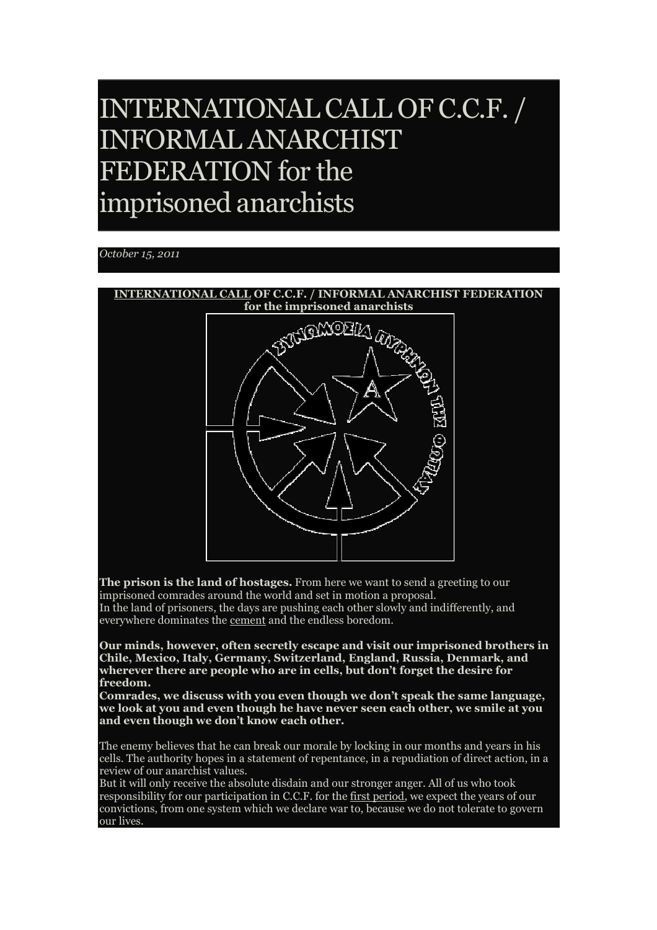# INTERNATIONAL CALL OF C.C.F. / INFORMAL ANARCHIST FEDERATION for the imprisoned anarchists

## *October 15, 2011*



**The prison is the land of hostages.** From here we want to send a greeting to our imprisoned comrades around the world and set in motion a proposal. In the land of prisoners, the days are pushing each other slowly and indifferently, and everywhere dominates the **cement** and the endless boredom.

**Our minds, however, often secretly escape and visit our imprisoned brothers in Chile, Mexico, Italy, Germany, Switzerland, England, Russia, Denmark, and wherever there are people who are in cells, but don't forget the desire for freedom.**

**Comrades, we discuss with you even though we don't speak the same language, we look at you and even though he have never seen each other, we smile at you and even though we don't know each other.**

The enemy believes that he can break our morale by locking in our months and years in his cells. The authority hopes in a statement of repentance, in a repudiation of direct action, in a review of our anarchist values.

But it will only receive the absolute disdain and our stronger anger. All of us who took responsibility for our participation in C.C.F. for the first period, we expect the years of our convictions, from one system which we declare war to, because we do not tolerate to govern our lives.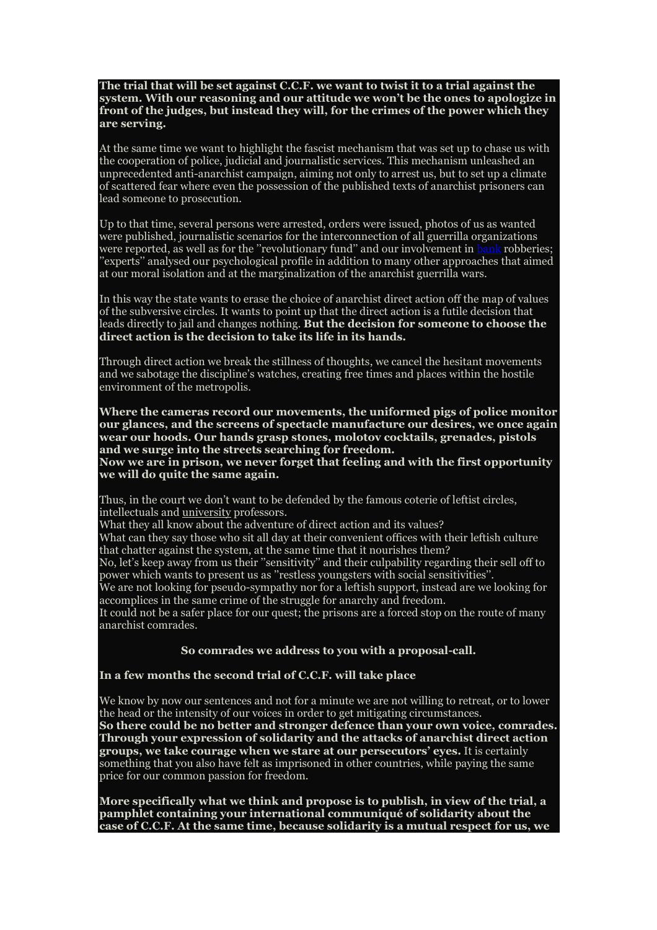**The trial that will be set against C.C.F. we want to twist it to a trial against the system. With our reasoning and our attitude we won't be the ones to apologize in front of the judges, but instead they will, for the crimes of the power which they are serving.** 

At the same time we want to highlight the fascist mechanism that was set up to chase us with the cooperation of police, judicial and journalistic services. This mechanism unleashed an unprecedented anti-anarchist campaign, aiming not only to arrest us, but to set up a climate of scattered fear where even the possession of the published texts of anarchist prisoners can lead someone to prosecution.

Up to that time, several persons were arrested, orders were issued, photos of us as wanted were published, journalistic scenarios for the interconnection of all guerrilla organizations were reported, as well as for the "revolutionary fund" and our involvement in bank robberies; 'experts'' analysed our psychological profile in addition to many other approaches that aimed at our moral isolation and at the marginalization of the anarchist guerrilla wars.

In this way the state wants to erase the choice of anarchist direct action off the map of values of the subversive circles. It wants to point up that the direct action is a futile decision that leads directly to jail and changes nothing. **But the decision for someone to choose the direct action is the decision to take its life in its hands.** 

Through direct action we break the stillness of thoughts, we cancel the hesitant movements and we sabotage the discipline's watches, creating free times and places within the hostile environment of the metropolis.

**Where the cameras record our movements, the uniformed pigs of police monitor our glances, and the screens of spectacle manufacture our desires, we once again wear our hoods. Our hands grasp stones, molotov cocktails, grenades, pistols and we surge into the streets searching for freedom.**

**Now we are in prison, we never forget that feeling and with the first opportunity we will do quite the same again.**

Thus, in the court we don't want to be defended by the famous coterie of leftist circles, intellectuals and university professors.

What they all know about the adventure of direct action and its values?

What can they say those who sit all day at their convenient offices with their leftish culture that chatter against the system, at the same time that it nourishes them?

No, let's keep away from us their ''sensitivity'' and their culpability regarding their sell off to power which wants to present us as ''restless youngsters with social sensitivities''.

We are not looking for pseudo-sympathy nor for a leftish support, instead are we looking for accomplices in the same crime of the struggle for anarchy and freedom.

It could not be a safer place for our quest; the prisons are a forced stop on the route of many anarchist comrades.

#### **So comrades we address to you with a proposal-call.**

### **In a few months the second trial of C.C.F. will take place**

We know by now our sentences and not for a minute we are not willing to retreat, or to lower the head or the intensity of our voices in order to get mitigating circumstances. **So there could be no better and stronger defence than your own voice, comrades. Through your expression of solidarity and the attacks of anarchist direct action groups, we take courage when we stare at our persecutors' eyes.** It is certainly something that you also have felt as imprisoned in other countries, while paying the same price for our common passion for freedom.

**More specifically what we think and propose is to publish, in view of the trial, a pamphlet containing your international communiqué of solidarity about the case of C.C.F. At the same time, because solidarity is a mutual respect for us, we**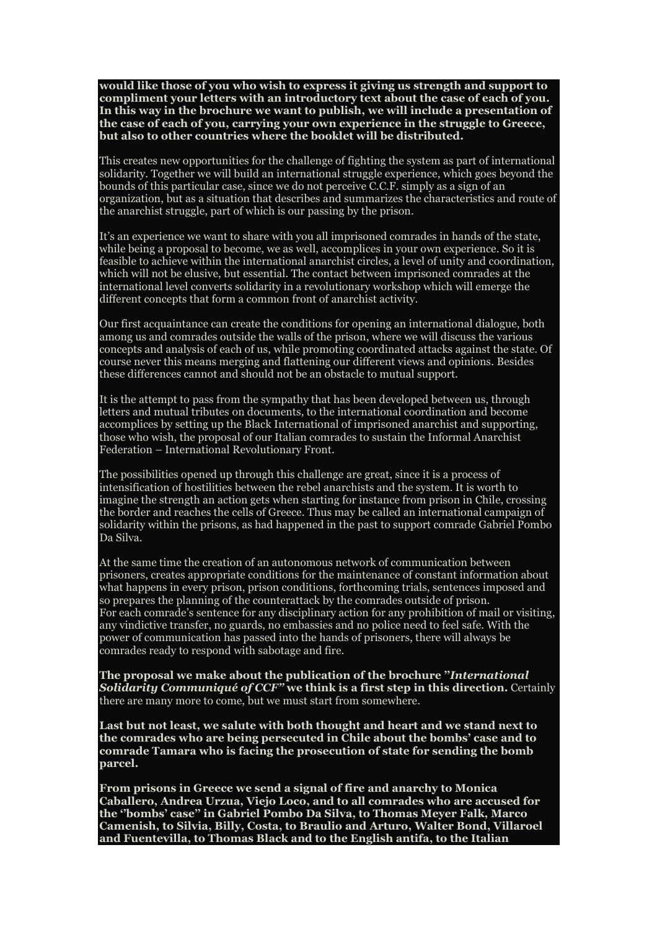**would like those of you who wish to express it giving us strength and support to compliment your letters with an introductory text about the case of each of you. In this way in the brochure we want to publish, we will include a presentation of the case of each of you, carrying your own experience in the struggle to Greece, but also to other countries where the booklet will be distributed.**

This creates new opportunities for the challenge of fighting the system as part of international solidarity. Together we will build an international struggle experience, which goes beyond the bounds of this particular case, since we do not perceive C.C.F. simply as a sign of an organization, but as a situation that describes and summarizes the characteristics and route of the anarchist struggle, part of which is our passing by the prison.

It's an experience we want to share with you all imprisoned comrades in hands of the state, while being a proposal to become, we as well, accomplices in your own experience. So it is feasible to achieve within the international anarchist circles, a level of unity and coordination, which will not be elusive, but essential. The contact between imprisoned comrades at the international level converts solidarity in a revolutionary workshop which will emerge the different concepts that form a common front of anarchist activity.

Our first acquaintance can create the conditions for opening an international dialogue, both among us and comrades outside the walls of the prison, where we will discuss the various concepts and analysis of each of us, while promoting coordinated attacks against the state. Of course never this means merging and flattening our different views and opinions. Besides these differences cannot and should not be an obstacle to mutual support.

It is the attempt to pass from the sympathy that has been developed between us, through letters and mutual tributes on documents, to the international coordination and become accomplices by setting up the Black International of imprisoned anarchist and supporting, those who wish, the proposal of our Italian comrades to sustain the Informal Anarchist Federation – International Revolutionary Front.

The possibilities opened up through this challenge are great, since it is a process of intensification of hostilities between the rebel anarchists and the system. It is worth to imagine the strength an action gets when starting for instance from prison in Chile, crossing the border and reaches the cells of Greece. Thus may be called an international campaign of solidarity within the prisons, as had happened in the past to support comrade Gabriel Pombo Da Silva.

At the same time the creation of an autonomous network of communication between prisoners, creates appropriate conditions for the maintenance of constant information about what happens in every prison, prison conditions, forthcoming trials, sentences imposed and so prepares the planning of the counterattack by the comrades outside of prison. For each comrade's sentence for any disciplinary action for any prohibition of mail or visiting, any vindictive transfer, no guards, no embassies and no police need to feel safe. With the power of communication has passed into the hands of prisoners, there will always be comrades ready to respond with sabotage and fire.

**The proposal we make about the publication of the brochure ''***International Solidarity Communiqué of CCF''* **we think is a first step in this direction.** Certainly there are many more to come, but we must start from somewhere.

**Last but not least, we salute with both thought and heart and we stand next to the comrades who are being persecuted in Chile about the bombs' case and to comrade Tamara who is facing the prosecution of state for sending the bomb parcel.**

**From prisons in Greece we send a signal of fire and anarchy to Monica Caballero, Andrea Urzua, Viejo Loco, and to all comrades who are accused for the ''bombs' case'' in Gabriel Pombo Da Silva, to Thomas Meyer Falk, Marco Camenish, to Silvia, Billy, Costa, to Braulio and Arturo, Walter Bond, Villaroel and Fuentevilla, to Thomas Black and to the English antifa, to the Italian**